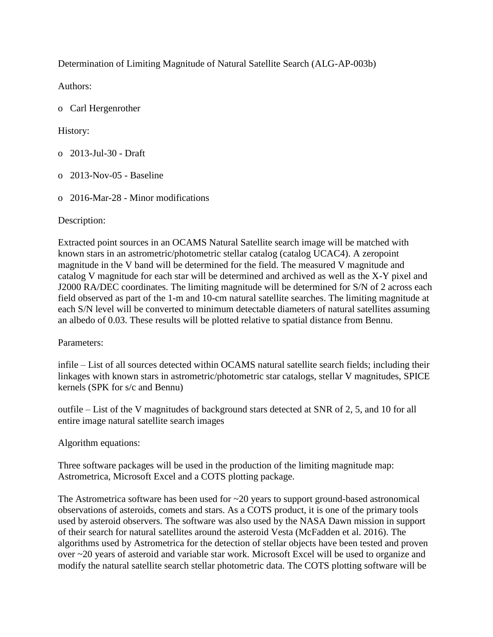Determination of Limiting Magnitude of Natural Satellite Search (ALG-AP-003b)

Authors:

o Carl Hergenrother

History:

- o 2013-Jul-30 Draft
- o 2013-Nov-05 Baseline
- o 2016-Mar-28 Minor modifications

Description:

Extracted point sources in an OCAMS Natural Satellite search image will be matched with known stars in an astrometric/photometric stellar catalog (catalog UCAC4). A zeropoint magnitude in the V band will be determined for the field. The measured V magnitude and catalog V magnitude for each star will be determined and archived as well as the X-Y pixel and J2000 RA/DEC coordinates. The limiting magnitude will be determined for S/N of 2 across each field observed as part of the 1-m and 10-cm natural satellite searches. The limiting magnitude at each S/N level will be converted to minimum detectable diameters of natural satellites assuming an albedo of 0.03. These results will be plotted relative to spatial distance from Bennu.

## Parameters:

infile – List of all sources detected within OCAMS natural satellite search fields; including their linkages with known stars in astrometric/photometric star catalogs, stellar V magnitudes, SPICE kernels (SPK for s/c and Bennu)

outfile – List of the V magnitudes of background stars detected at SNR of 2, 5, and 10 for all entire image natural satellite search images

Algorithm equations:

Three software packages will be used in the production of the limiting magnitude map: Astrometrica, Microsoft Excel and a COTS plotting package.

The Astrometrica software has been used for  $\sim$ 20 years to support ground-based astronomical observations of asteroids, comets and stars. As a COTS product, it is one of the primary tools used by asteroid observers. The software was also used by the NASA Dawn mission in support of their search for natural satellites around the asteroid Vesta (McFadden et al. 2016). The algorithms used by Astrometrica for the detection of stellar objects have been tested and proven over ~20 years of asteroid and variable star work. Microsoft Excel will be used to organize and modify the natural satellite search stellar photometric data. The COTS plotting software will be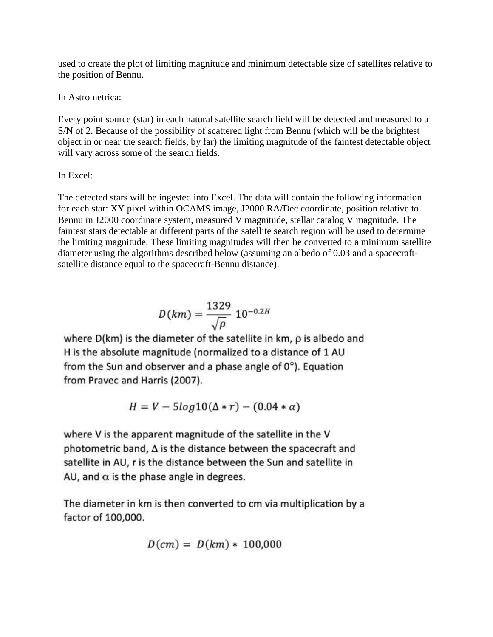used to create the plot of limiting magnitude and minimum detectable size of satellites relative to the position of Bennu.

In Astrometrica:

Every point source (star) in each natural satellite search field will be detected and measured to a S/N of 2. Because of the possibility of scattered light from Bennu (which will be the brightest object in or near the search fields, by far) the limiting magnitude of the faintest detectable object will vary across some of the search fields.

## In Excel:

The detected stars will be ingested into Excel. The data will contain the following information for each star: XY pixel within OCAMS image, J2000 RA/Dec coordinate, position relative to Bennu in J2000 coordinate system, measured V magnitude, stellar catalog V magnitude. The faintest stars detectable at different parts of the satellite search region will be used to determine the limiting magnitude. These limiting magnitudes will then be converted to a minimum satellite diameter using the algorithms described below (assuming an albedo of 0.03 and a spacecraftsatellite distance equal to the spacecraft-Bennu distance).

$$
D(km) = \frac{1329}{\sqrt{\rho}} 10^{-0.2H}
$$

where D(km) is the diameter of the satellite in km,  $\rho$  is albedo and H is the absolute magnitude (normalized to a distance of 1 AU from the Sun and observer and a phase angle of  $0^{\circ}$ ). Equation from Pravec and Harris (2007).

$$
H = V - 5log10(\Delta * r) - (0.04 * \alpha)
$$

where V is the apparent magnitude of the satellite in the V photometric band,  $\Delta$  is the distance between the spacecraft and satellite in AU, r is the distance between the Sun and satellite in AU, and  $\alpha$  is the phase angle in degrees.

The diameter in km is then converted to cm via multiplication by a factor of 100,000.

$$
D(cm) = D(km) * 100,000
$$